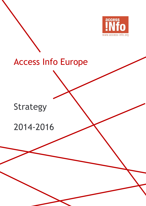

# Access Info Europe

## Strategy

## 2014-2016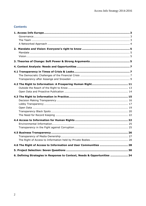## **Contents**

| 4.6 The Right of Access to Information and User Communities  28 |  |
|-----------------------------------------------------------------|--|
|                                                                 |  |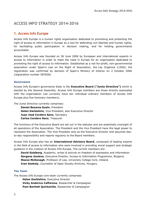## **ACCESS INFO STRATEGY 2014-2016**

### <span id="page-2-0"></span>**1. Access Info Europe**

Access Info Europe is a human rights organisation dedicated to promoting and protecting the right of access to information in Europe as a tool for defending civil liberties and human rights, for facilitating public participation in decision making, and for holding governments accountable.

Access Info Europe was founded on 26 June 2006 by European and international experts in access to information in order to meet the need in Europe for an organisation dedicated to promoting the right of access to information. Established as a not-for-profit, non-governmental association under Spain's Law on the Right of Association, the Ley Orgánica 1/2002, the registration was confirmed by decision of Spain's Ministry of Interior on 2 October 2006 (registration number 587828).

#### <span id="page-2-1"></span>**Governance**

Access Info Europe's governance body is the **Executive Board ("Junta Directiva")** which is elected by the General Assembly. Access Info Europe members are those directly associated with the organisation (we currently have ten individual ordinary members of Access Info Europe plus five honorary members).

The *Junta Directiva* currently comprises:

**Daniel Bezares Susín**, President **Helen Darbishire**, Vice-President, also Executive Director **Juan José Cordero Sanz**, Secretary **Carlos Cordero Sanz**, Treasurer

The functions of the Executive Board are set out in the statutes and are essentially oversight of all operations of the Association. The President and the Vice President have the legal power to represent the Association. The Vice President acts as the Executive Director and assumes dayto-day responsibility and reports regularly to the Board members.

Access Info Europe also has an **International Advisory Board**, composed of leading experts in the field of access to information who were involved in providing moral support and strategic guidance in the creation of Access Info Europe. The current members are:

**David Goldberg**, Academic, writer & activist on freedom of expression and information. **Gergana Jouleva**, Executive Director, Access to Information Programme, Bulgaria. **Maeve McDonagh**, Professor of Law, University College Cork, Ireland. **Ivan Szekely**, Counsellor of Open Society Archives, Hungary.

#### <span id="page-2-2"></span>**The Team**

The Access Info Europe core team currently comprises:

**Helen Darbishire**, Executive Director **Vicky Anderica Caffarena**, Researcher & Campaigner **Pam Bartlett Quintanilla**, Researcher & Campaigner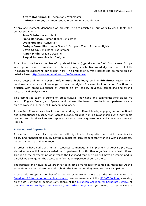#### **Alvaro Rodriguez**, IT Technician / Webmaster **Andreas Pavlou**, Communications & Community Coordination

At any one moment, depending on projects, we are assisted in our work by consultants and service providers:

**Juan Sobrino**, Accountant **Fiona Harrison**, Human Rights Consultant **Lydia Medland**, Consultant **Enrique Jaramillo**, Lawyer Spain & European Court of Human Rights **David Cabo**, Consultant Programmer **Rubén Miján**, Graphic Designer **Raquel Lozano**, Graphic Designer

In addition, we have a number of high-level interns (typically up to five) from across Europe working on a short- to medium-term basis, gaining substantive knowledge and practical skills in return for supporting our project work. The profiles of current interns can be found on our website here: [http://www.access-info.org/en/who-we-are.](http://www.access-info.org/en/who-we-are)

These people all form **Access Info's multidisciplinary and multicultural team** which combines a specialised knowledge of how the right of access to information functions in practice with broad experience of working on civil society advocacy campaigns and strong research and analysis skills.

This committed team is strong on cross-cultural knowledge and communications skills: we work in English, French, and Spanish and between the team, consultants and partners we are able to work in a number of European languages.

Access Info Europe has a track record of working at different levels, engaging in both national and international advocacy work across Europe, building working relationships with individuals ranging from local civil society representatives to senior government and inter-governmental officials.

#### <span id="page-3-0"></span>**A Networked Approach**

Access Info is a specialist organisation with high levels of expertise and which maintains its agility and financial stability by having a dedicated core team of staff working with consultants, helped by interns and volunteers.

In order to have sufficient human resources to manage and implement large-scale projects, almost all our activities are carried out in partnership with other organisations or institutions. Through these partnerships we increase the likelihood that our work will have an impact and in parallel we strengthen the access to information expertise of our partners.

The partners and networks we are involved in act as multipliers for campaign messages. At the same time, we help those networks obtain the information they need for their campaigns.

Access Info Europe is member of a number of networks. We act as the Secretariat for the [Freedom of Information Advocates Network.](http://foiadvocates.net/) We are members of the [UNCAC Coalition](http://www.uncaccoalition.org/) (working on the UN Convention against Corruption), of the **European Coalition for Corporate Justice**, of the **[Alliance for Lobbying Transparency and Ethics Regulation](http://www.alter-eu.org/)** (ALTER-EU, currently we are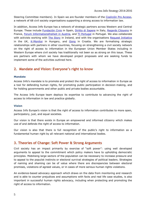Steering Committee members). In Spain we are founder members of the [Coalición Pro Acceso,](http://www.proacceso.org/) a network of 68 civil society organisations supporting a strong access to information law.

In addition, Access Info Europe has a network of strategic partners across Western and Central Europe. These include [Fundación Civio](http://www.civio.es/) in Spain, [Diritto di Sapere](http://www.dirittodisapere.it/‎) in Italy, [Regards Citoyens](http://www.regardscitoyens.org/‎) in France, [Forum Informationsfreiheit](http://blog.transparenzgesetz.at/?attachment_id=503) in Austria, and [TI Portugal](http://transparencia.pt/) in Portugal. We also collaborate with activists working with [The Story](http://thestory.ie/) in Ireland, and with the organisations [Request Initiative](http://requestinitiative.org/team/) in the UK, [K-Monitor](http://www.k-monitor.hu/‎) in Hungary, and [Gong](file:///C:/Users/Helen/AppData/Local/Microsoft/Windows/INetCache/Content.Outlook/AppData/Local/Temp/gong.hr/‎) in Croatia. We are formalising strategic relationships with partners in other countries, focusing on strengthening a civil society network on the right of access to information in the European Union Member States including in Western Europe where civil society has traditionally not been so as strong on this issue. These are partners with whom we have developed project proposals and are seeking funds to implement some of the activities outlined here.

## <span id="page-4-0"></span>**2. Mandate and Vision: Everyone's right to know**

#### <span id="page-4-1"></span>**Mandate**

Access Info's mandate is to promote and protect the right of access to information in Europe as a tool for defending human rights, for promoting public participation in decision-making, and for holding governments and other public and private bodies accountable.

The Access Info Europe team deploys its expertise to contribute to advancing the right of access to information in law and practice globally.

#### <span id="page-4-2"></span>**Vision**

Access Info Europe's vision is that the right of access to information contributes to more open, participatory, just, and equal societies.

Our vision is that there exists in Europe an empowered and informed citizenry which makes use of and defends the right of access to information.

Our vision is also that there is full recognition of the public's right to information as a fundamental human right by all relevant national and international bodies.

### <span id="page-4-3"></span>**3. Theories of Change: Soft Power & Strong Arguments**

Civil society has an impact primarily by exercise of "soft power": using well developed arguments to appeal to the commitment which policy makers have to upholding democratic principles. Mobilising large sectors of the population can be necessary to increase pressure and to appeal to the populist instincts or electoral survival strategies of political leaders. Strategies of naming and shaming can be of value where there are discrepancies between electoral promises, violations of agreed values, or in cases of more serious human rights violations.

An evidence-based advocacy approach which draws on the data from monitoring and research and is able to counter prejudices and assumptions with facts and real life case studies, is also important in successful human rights advocacy, including when protecting and promoting the right of access to information.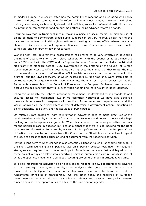In modern Europe, civil society often has the possibility of meeting and discussing with policy makers and securing commitments for reform in line with our demands. Working with allies inside governments, such as enlightened public officials, as well as influential institutions such as information commissioner and ombudsman offices, helps advance reform demands.

Securing coverage in traditional media, making a noise on social media, or making use of online petitions to demonstrate broad public support can be very helpful, as can having the data from an opinion poll, although sometimes a meeting with a key official where there is a chance to discuss and set out argumentation can be as effective as a broad based public campaign (and can draw on fewer resources).

Working with inter-governmental organisations has proved to be very effective in advancing the right of access to information. Close collaboration with the Council of Europe since the early 1990s, and with the OSCE and its Representative on Freedom of the Media, contributed significantly to standard setting. CSO involvement in the drafting of the Council of Europe Convention on Access to Official Documents also improved the standard of that treaty, the first in the world on access to information. (Civil society observers had no formal role in the drafting, but the CSO observers, of which Access Info Europe was one, were often able to contribute specific language which made its way into the final text). Other bodies such as the Parliamentary Assembly of the Council of Europe and the European Parliament are important because the positions that they take, even when not binding, have weight in policy debates.

Using this approach, the right to information movement has developed strong standards and secured access to information laws in 96 countries worldwide; we have also achieved measurable increases in transparency in practice. (As we know from experience around the world, lobbying can be a very effective way of determining government action, impacting on policy decisions, legislation, and the activities of public bodies).

On relatively rare occasions, right to information advocates need to make direct use of the legal remedies available, including information commissioners and courts, to obtain the legal backing for pro-transparency arguments. When this is done, it can be very effective, not only for the particular case in question but also as a signal that there is legal backing for the right of access to information. For example, Access Info Europe's recent win at the European Court of Justice for access to documents from the Council of the EU will have an effect well beyond the issue of access to that particular kind of document from that specific institution.

Having a long term view of change is also essential. Litigation takes a lot of time although in the short term launching a campaign is also an important political tool. Even non-litigation strategies can require time to have an impact. Sometimes there are fast and big wins, but these do not always translate into underlying shifts in bureaucratic culture, which is part of what the openness movement is all about: securing profound changes in attitude takes time.

It is also important for activists to be flexible and to respond to new opportunities to advance existing campaigns. Hence, for example, as we analyse in the context section, the open data movement and the Open Government Partnership provide new forums for discussion about the fundamental principles of transparency. On the other hand, the response of European governments to the financial crisis is a challenge to democratic decision making which creates a need and also some opportunities to advance the participation agenda.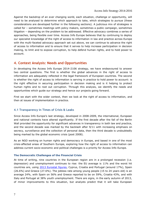Against the backdrop of an ever changing world, each situation, challenge or opportunity, will need to be analysed to determine which approach to take, which strategies to pursue (these considerations are developed further in the following sections). A judicious mix of strategies is called for – sometimes meetings with policy makers, sometimes a public campaign, sometimes litigation – depending on the problem to be addressed. Effective advocacy combines a series of approaches, being flexible over time. Access Info Europe believes that by continuing to deploy our specialist knowledge of the right of access to information in law and practice across Europe with the multi-faceted advocacy approach set out above, we can continue to advance the right of access to information and to ensure that it serves to help increase participation in decision making, to limit and to expose corruption, to help defend human rights, and to hold power to account.

## <span id="page-6-0"></span>**4. Context Analysis: Needs and Opportunities**

In developing the Access Info Europe 2014-2106 strategy, we have endeavoured to answer two central questions. The first is whether the global advances in the right of access to information are adequately reflected in the legal framework of European countries. The second is whether the right of access to information is serving in practice to hold power to account: is the right effective in securing participation in decision making and is it helping to protect human rights and to root out corruption. Through this analysis, we identify the needs and opportunities which guide our strategy and hence our projects going forward.

First we start with the wider context, then we look at the right of access to information, and then at issues of implementation in practice.

#### <span id="page-6-1"></span>**4.1 Transparency in Times of Crisis & Leaks**

Since Access Info Europe's last strategy, developed in 2008-2009, the international, European and national contexts have altered significantly. If the first decade after the fall of the Berlin Wall provided the opportunity for significant advances in transparency in both law and practice, and the second decade was marked by the backlash after 9/11 with increasing emphasis on secrecy, surveillance and the collection of personal data, then the third decade is undoubtedly being marked by the global economic crisis (post 2008).

As an NGO working on human rights and democracy in Europe, and based in one of the most crisis-affected areas of Southern Europe, exploring how the right of access to information can address current socio-economic and political challenges is a priority for Access Info Europe.

#### <span id="page-6-2"></span>**The Democratic Challenges of the Financial Crisis**

At time of writing, nine countries in the European region are in a prolonged recession (i.e. depression) and unemployment continues to rise: the EU average is 11% and the worst hit countries are, using [2013 Eurostat figures,](http://epp.eurostat.ec.europa.eu/statistics_explained/index.php/Unemployment_statistics) Cyprus, Croatia and Portugal (around 17%), Spain (26.6%) and Greece (27.6%). The jobless rate among young people (15 to 24 years old) is an average 24%, with Spain on 56% and Greece reported to be on 59%, Croatia 43%, and with Italy and Portugal at 38% youth unemployment. There are signs, in the early autumn of 2013, of minor improvements to this situation, but analysts predict that it will take European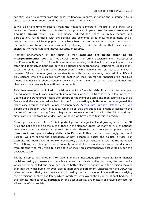societies years to recover from the negative financial impacts, including the austerity cuts in core areas of government spending such as health and education.

It will also take time to recover from the negative democratic impacts of the crisis. One concerning feature of the crisis is that it has produced **imperatives for even more rapid decision making** than usual, and hence reduced the space for public debate and participation. Furthermore, with the political and economic elites knowing that many crisisrelated decisions will be unpopular, there have been reduced incentives to open decisions up for public consultation, with governments preferring to take the stance that they have no choice but to make cuts and impose austerity measures.

Another phenomenon of the crisis is that **decisions are being taken at an intergovernmental level**, but not always through the formal decision-making processes of the European Union. For information requesters seeking to find out what is going on, they often find themselves bouncing between national and supranational institutions. In too many cases the result is the "ping-pong phenomenon" in which citizens are referred back and forth between EU and national governance structures with neither assuming responsibility. It's not only citizens who are excluded from the debate on their future: the financial crisis has also meant that decisions about economic policy are being taken out of the reach of democratic checks and balances such as national parliaments.

This phenomenon is not limited to decisions about the financial crisis. It occurred, for example, during Access Info Europe's research into reforms of the EU transparency rules, when the Council of the EU referred Access Info Europe to the Member States and then countries such as France and Greece referred us back to the EU (interestingly, both countries later joined the Court case arguing against Council transparency). [Access Info Europe's October 2013 win](http://www.access-info.org/en/european-union/501-court-case-ecj-2013) before the European Court of Justice, which ruled that the public has a right of access to the names of countries putting forward legislative proposals in the Council of the EU, should help significantly in the tracking of decisions, although we have yet to test this in practice.

Securing transparency of the EU is important given the significant and growing impact that EU rules and policies have on the lives of those in the Member States: as many as 70% of national laws are shaped by decisions taken in Brussels. There is much concern at present about **democratic and participatory deficits in Europe.** Rather than an increasingly horizontal Europe, we are seeing the emergence of new economic, social and political divides. For example, the more powerful EU Member States, as well as institutions such as the European Central Bank, are playing disproportionately influential or even decisive roles, far distanced from citizens who may wish to participate or insist on comprehensive accountability for the decisions taken.

The EU is sometimes joined by international financial institutions (IMF, World Bank) in financial decision-making processes and there is evidence that private bodies, including the very banks which are being bailed out, have been much better placed to engage with the decision makers than has the wider public, or even elected members of parliament. Interestingly the OECD has raised a concern that governments are not making the macro-economic evaluations underlying their decisions publicly available, which interferes with oversight by international bodies. In this climate, transparency, participation and accountability are matters of growing concern for all sectors of civil society.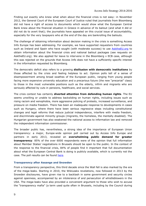Finding out exactly who knew what when about the financial crisis is not easy: in November 2012, the General Court of the European Court of Justice ruled that journalists from Bloomberg did not have a right of access to documents which would show what the European Central Bank knew about the financial situation in Greece in advance of its bailout (and what it did or did not do to avert that); the journalists have appealed on this crucial issue of accountability, especially for the very taxpayers who at the end of the day are bankrolling the bailouts.

The challenge of obtaining information about decision making in the crisis is something Access Info Europe has been addressing. For example, we have supported requesters from countries such as Ireland and Spain who have sought (with moderate success) to use [AsktheEU.org](http://www.asktheeu.org/) to obtain information about the financial crisis and national bailout packages (see requests on AsktheEU.org). We also applied for leave to intervene in the Bloomberg v ECB case, although this was rejected on the grounds that Access Info does not have a sufficiently specific interest in the information requested by Bloomberg.

The democratic deficit also refers to a growing **disillusion with democratic institutions** by those affected by the crisis and feeling helpless to act. Opinion polls tell of a sense of disempowerment among broad swathes of the European public, ranging from young people facing more expensive university education and a precarious future (the new "precariat" class) to those in the most vulnerable positions such as the elderly, infirm and migrants who are seriously affected by cuts in pensions, healthcare, and social services.

The crisis context has certainly **diverted attention from defending human rights**. The EU seems unwilling or unable to address backsliding on human rights, including issues such as rising racism and xenophobia, more aggressive policing of protests, increased surveillance, and pressure on media freedom. There has been an inadequate response to developments in cases such as Hungary, where there have been serious regressive steps including constitutional changes and legal reforms that reduce judicial independence, interfere with media freedom, and discriminate against minority groups (migrants, the homeless, the mentally disabled). The Hungarian government has also weakened the national access to information law and removed the independent information commissioner.

The broader public has, nevertheless, a strong idea of the importance of European Union transparency: a major, Europe-wide opinion poll carried out by Access Info Europe and partners in early 2013, revealed an **overwhelming public demand for greater transparency**: 85% of the over 6000 respondents were of the opinion that full information about Member States' negotiations in Brussels should be open to the public. In the context of the response to the financial crisis, 84% of people find it important that full documentation about what the European Central Bank is doing is publicly available, which is currently not the case. The poll results can be found [here.](http://www.access-info.org/en/european-union/371-european-poll-shows-considerable-concern-about-eu-ethics)

#### <span id="page-8-0"></span>**Transparency after Assange and Snowden**

From a transparency perspective, this third decade since the Wall fell is also marked by the era of the mega-leaks. Starting in 2010, the WikiLeaks revelations, now followed in 2013 by the Snowden disclosures, have given rise to a backlash in some government and security circles against openness, accompanied by an intolerance of and persecution of whistleblowers in the USA. The mega-leaks have also provided a convenient argument to those who wish to accuse the "transparency mafia" (a term used quite often in Brussels, including by the Council during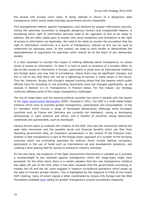the Access Info Europe court case) of being radicals in favour of a dangerous total transparency which would make everyday government activity impossible.

This strengthened rhetoric against transparency and demand for greater information security, linking the openness movement to allegedly dangerous hackers and irresponsible leakers, is something which right to information activists need to be cognisant of and to be ready to address. We are often called upon to explain why some exceptions and limitations to the right of access to information are legitimate. We need to be ready to counter the accusation that the right to information community is a bunch of transparency radicals as this can be used to undermine our advocacy work. In this context, we need to work harder to demonstrate the reasonableness of arguments for openness which should be at the heart of any democratic society.

It is also important to monitor the impact of shifting attitudes about transparency on actual levels of access to information. To date it is hard to point to evidence of a broader effect on day-to-day access to information in Europe, particularly in areas such as international relations and foreign policy and now that of surveillance, where there may be significant changes, but this is not to say that there will not be a tightening of secrecy in some areas in the future. Thus far, however, Access Info Europe's request tracking shows that the reasons which public officials have for providing or not providing documents have not changed significantly, as we analyse in Section 3.3 on Transparency in Practice below. For this reason, our strategy continues address some of the classic transparency challenges.

The era of mega-leaks and the ensuing political scandals has come in parallel with the launch of the [Open Government Partnership](http://www.opengovpartnership.org/) (OGP). Founded in 2011, the OGP is a multi-stake-holder initiative which aims to promote greater transparency, participation and accountability. It has 61 members which include a range of developed democracies (although some European countries such as France and Germany are currently not members), young or developing democracies in Latin America and Africa, and a handful of countries whose democratic credentials are questionable, such as Azerbaijan.

Various drivers seem to underpin the creation of the OGP. One was the momentum behind the open data movement and the possible social and financial benefits which can flow from liberating government data, an important consideration in the context of the financial crisis. Another is that transparency is part of the foreign policy approach of a number of the founding countries which are promoting openness for motives which include fighting corruption, particularly in the use of funds such as international aid and development donations, and creating a level playing field for access to extractive industry contracts.

On the one hand, the existence of the Open Government Partnership is valuable as it provides a counterweight to any backlash against transparency which the mega-leaks might have provoked. On the other hand, there is a certain paradox that this new transparency initiative has taken off just at the time when it has been revealed that the governments promoting it, notably the US and the UK, were engaged in massive surveillance operations which swept up the data of innocent private citizens. This is highlighted by the response of CSOs at the recent OGP meeting, many of whom signed a letter coordinated by Access Info Europe and the Web Foundation available [here](http://www.access-info.org/en/open-government-data/510-ogp-surveillance-statement) calling for greater transparency around surveillance measures.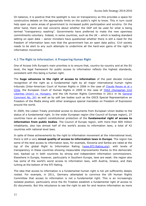On balance, it is positive that the spotlight is now on transparency as this provides a space for constructive debate on the appropriate limits on the public's right to know. This in turn could help open up some areas of government to increased public participation and scrutiny. On the other hand, there are real concerns about whether the OGP will be used for what is being termed "transparency washing". Governments have preferred to make the new openness commitments voluntary. Indeed, in some countries, such as the UK – which is leading standard setting on open data – senior ministers have questioned whether there is still a need for the freedom of information laws now that the government has an open data policy. Civil society needs to be alert to any such attempts to undermine all the hard-won gains of the right to information movement.

#### <span id="page-10-0"></span>**4.2 The Right to Information: A Prospering Human Right**

One of Access Info Europe's main priorities is to ensure that, country-by-country and at the EU level, the legal framework for public access to information reflects the highest standards, consistent with this being a human right.

The **huge advances in the right of access to information** of the past decade include recognition of the right as a fundamental right by all major international human rights tribunals (Inter-American Court of Human Rights in 2006 in the case of Claude Reyes et al v [Chile,](http://www.corteidh.or.cr/casos.cfm?idCaso=245&CFID=525202&CFTOKEN=97319768) the European Court of Human Rights in 2009 in the case of [TASZ \(Hungarian Civil](http://cmiskp.echr.coe.int/tkp197/view.asp?action=html&documentId=849278&portal=hbkm&source=externalbydocnumber&table=F69A27FD8FB86142BF01C1166DEA398649.)  [Liberties Union\) vs. Hungary,](http://cmiskp.echr.coe.int/tkp197/view.asp?action=html&documentId=849278&portal=hbkm&source=externalbydocnumber&table=F69A27FD8FB86142BF01C1166DEA398649.) and the UN Human Rights Committee in 2011 in its General [Comment No. 34\)](http://tbinternet.ohchr.org/_layouts/treatybodyexternal/Download.aspx?symbolno=CCPR%2fC%2fGC%2f34&Lang=en) as well as by soft law bodies such as the OSCE Special Representative on Freedom of the Media along with other analogous special mandates on Freedom of Expression around the world.

In 2009, the Lisbon Treaty promoted access to documents from European Union bodies to the status of a fundamental right. In the wider European region (the Council of Europe region), 27 countries have an explicit constitutional protection of the **fundamental right of access to information from public bodies**. The Council of Europe region, with more than 800 million inhabitants, also has almost half of the world's access to information laws, a total of 42 countries with national level laws.

In spite of these achievements by the right to information movement at the international level, there is still a very **mixed quality of access to information laws in Europe**. The region has some of the best access to information laws, for example, Slovenia and Serbia are rated at the top of the global Right to Information Rating [\(www.RTI-Rating.org\)](http://www.rti-rating.org/), with levels of transparency in these countries showing measurable improvements thanks to this democratic tool, backed up in both countries by strong and independent information commissioners. Elsewhere in Europe, however, particularly in Southern Europe, laws are weak: the region also has some of the world's worst access to information laws, with Austria, Greece, and Italy lurking at the bottom of the RTI Rating.

The idea that access to information is a fundamental human right is not yet sufficiently deeply rooted. For example, in 2011, Germany attempted to convince the UN Human Rights Committee that access to information is not a fundamental right. This is an increasingly isolated position, particularly since the EU Treaties establish a fundamental right of access to EU documents. But this reluctance to see the right to ask for and receive information as more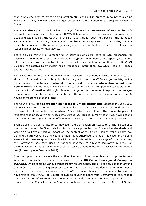than a privilege granted by the administration still plays out in practice in countries such as France and Italy, and has been a major obstacle in the adoption of a transparency law in Spain.

There are also signs of backtracking on legal frameworks. Regressive reforms to the EU's access to documents rules, Regulation 1049/2001, proposed by the European Commission in 2008 and expanded by the Council of the EU have thus far been held back by the European Parliament and civil society campaigning, but have not disappeared. In particular, there a desire to undo some of the more progressive jurisprudence of the European Court of Justice on issues such as access to legal advice.

There is also a minority of European Union countries which still have no legal mechanism for exercising the right of access to information: Cyprus, Luxembourg, and Spain (though the latter two have draft access to information laws in their parliaments at time of writing). Of Europe's microstates Liechtenstein has a freedom of information law, while Andorra, Monaco and San Marino do not.

The disparities in the legal frameworks for accessing information across Europe create a situation of inequality, particularly for civil society actors such as CSOs and journalists, as the public in some countries is **excluded from a right to access information about their governments**. The European Union does not currently have any competence to set standards on access to information, although this may change in due course as it explores the linkages between access to information, open data, and the reuse of public sector information (the EU having competence over the latter).

The Council of Europe **Convention on Access to Official Documents**, adopted in June 2009, has not yet come into force. It has been signed to date by 14 countries and ratified by seven of these; it will come into force when 10 countries have ratified. The moderate pace of ratifications is an issue which Access Info Europe has tackled in many countries, having found that national campaigns are most effective in catalysing the necessary legislative processes.

Even before it has come into force, however, the Convention on Access to Official Documents has had an impact. In Spain, civil society activists promoted the Convention standards and were able to have a positive impact on the content of the future Spanish transparency law, defining a narrower range of exceptions than might otherwise have been the case, and helping ensure that these exceptions are subject to a public interest test. In a range of other countries, the Convention has been used in national advocacy to advance legislative reforms (for example Croatia in 2013) or to hold back regressive amendments to the access to information law (for example in Bosnia in 2013).

A further opportunity to secure the adoption of access to information laws and to promote laws which meet international standards is provided by the **UN Convention against Corruption (UNCAC)**, which contains various transparency requirements. The civil society coalition around the UNCAC has made having an access to information law one of its demands to governments and there is an opportunity to use the UNCAC review mechanisms to press countries which have ratified the UNCAC (all Council of Europe countries apart from Germany) to ensure that their access to information law meets international standards. Similar opportunities are provided by the Council of Europe's regional anti-corruption mechanism, the Group of States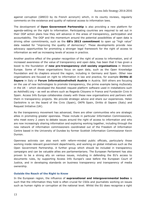against corruption (GRECO by its French acronym) which, in its county reviews, regularly comments on the existence and quality of national access to information laws.

The development of **Open Government Partnership** is also providing a new platform for agenda-setting on the right to information. Participating countries are required to set out in their OGP action plans how they will advance in the areas of transparency, participation and accountability. The OGP and the momentum around the potential possibilities of open data is driving other commitments, such as the **G8's 2013 commitment** to open up "high value" data needed for "improving the quality of democracy". These developments provide new advocacy opportunities for promoting a stronger legal framework for the right of access to information as well as increasing levels of access in practice.

Another positive effect of the greater recognition of the right of access to information, and of increased awareness of the value of transparency and open data, has been that it has given a boost to the foundation of **new pro-transparency civil society organisations** in Western Europe. Some of these organisations focus on open data, such as the Open Knowledge Foundation and its chapters around the region, including in Germany and Spain. Other new organisations are focused on right to information in law and practice, for example **Diritto di Sapere** in Italy or **Forum Informationsfreiheit Austria** in Austria. Still others are focusing on the use of new technologies to promote transparency, the prime example being mySociety in the UK – which developed the Alaveteli request platform software used in installations such as AsktheEU.org – as well as others such as Regards Citoyens in France and Fundación Civio in Spain. Access Info Europe collaborates closely with these new organisations and partners with them in transparency projects. We provide strategic advice and share our experiences. Helen Darbishire is on the board of the Civio (Spain), OKFN Spain, Diritto di Sapere (Italy) and Request Initiative (UK).

As the transparency movement has advanced, there are other communities who are strategic allies in promoting greater openness. These include in particular Information Commissioners, who meet every 2 years to debate issues around the right of access to information and who are now increasingly sharing information and exploring working together, including through the new network of information commissioners coordinated out of the Freedom of Information Centre based in the University of Dundee by former Scottish Information Commissioner Kevin Dunion.

Openness activists can also work with reform-minded public officials, particularly those working inside relevant government departments, and working on global initiatives such as the Open Government Partnership. A further group which should be included in transparency campaigns and can be valuable allies are parliamentarians. The European Parliament has also proven to be a strong ally on various issues, including in defending the EU's access to documents rules, by supporting Access Info Europe's case before the European Court of Justice, and in developing standards on business transparency and transparency of media ownership.

#### <span id="page-12-0"></span>**Outside the Reach of the Right to Know**

In the European region, the influence of **supranational and intergovernmental bodies** is such that the information they hold is often crucial for CSOs and journalists working on issues such as human rights or corruption at the national level. Whilst the EU does recognise a right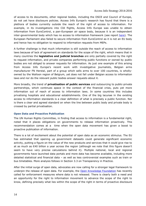of access to its documents, other regional bodies, including the OSCE and Council of Europe, do not yet have disclosure policies. Access Info Europe's research has found that there is a plethora of bodies currently outside the reach of the right of access to information. For example, in its investigations into CIA flights, Access Info Europe was unable to obtain information from EuroControl, a pan-European air space body, because it is an independent inter-governmental body which has no access to information framework (see report [here\)](http://www.access-info.org/en/access-for-rights/210-eurocontrol). The European Parliament also failed to secure information from EuroControl as it is not an EU body and hence has no obligation to respond to information requests from MEPs.

A further challenge is that much information is still outside the reach of access to information laws because of lack of agreement on standards for the scope of the right, which means that in many countries the **legislative and judicial branches** are only partially covered by the right to request information, and private companies performing public functions or owned by public bodies are not obliged to answer requests for information. As just one example of this arising from Access Info Europe's recent work with investigative journalists, Belgian arms manufacturer FN Herstal, part of a group which sells arms to over 100 countries, is whollyowned by the Walloon region of Belgium, yet does not fall under Belgian access to information laws and nor do the relevant public bodies answer requests about it.

More broadly, the trend of **privatisation of public services** and outsourcing to public-private partnerships, which continues apace in the context of the financial crisis, puts yet more information out of reach of access to information laws. In some countries this includes privatising hospitals and educational establishments. One of the big lacunae in the existing access to information standards is a clear definition of what is precisely a public function. Nor is there a clear and agreed standard on when the line between public body and private body is crossed by partial privatisation.

#### <span id="page-13-0"></span>**Open Data and Proactive Publication**

The UN Human Rights Committee, in finding that access to information is a fundamental right, noted that it places obligations on governments to release information proactively. This recommendation comes at a time when the open data movement has given a boost to proactive publication of information.

There is a lot of excitement about the potential of open data as an economic stimulus. The EU has estimated that opening up government datasets could generate significant economic activity, putting a figure on the value of the new products and services that it could give rise to at as much as €40 billion a year across the region (although we note that this figure doesn't seem to have very precise calculations behind it). Multiple national, local and regional governments have launched data portals and more data has become available, including more detailed statistical and financial data – as well as less controversial examples such as train or bus timetables. More analysis follows in Section 3.3 on Transparency in Practice.

After the initial surge of open data, advocates are now calling for a stronger legal framework to underpin the release of open data. For example, the Open [Knowledge Foundation](http://okfn.org/) has recently called for enforcement measures where data is not released. There is clearly both a need and an opportunity for the right to information movement to advance the scope of the right to know, defining precisely what lies within the scope of the right in terms of proactive disclosure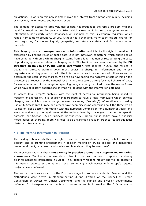obligations. To work on this now is timely given the interest from a broad community including civil society, governments and business users.

The demand for access to large volumes of data has brought to the fore a problem with the legal framework in most European countries, which allows public bodies to charge for access to information, particularly larger databases. An example of this is company registers, which range in price up to around €100,000. Although it is changing, many countries still charge for land registries, for meteorological, geospatial, and statistical data, and for various other datasets.

This charging results in **unequal access to information** and inhibits the right to freedom of expression by limiting reuse of public data. It is not, however, something which public bodies have come up with on a whim: charging stems from a long tradition of recuperating the costs of producing government data by charging for it. The tradition has been reinforced by the **EU Directive on Re-use of Public Sector Information**, first adopted in 2003 and revised in 2013. The Directive permits government bodies to charge for information and to ask requesters what they plan to do with the information so as to issue them with licences and to determine the scale of the charges. We are also now seeing the negative effects of this on the processing of requests at the national level, where requesters asking for small chunks of data, for example, a part of the budget or spending data, are being required to use the re-use forms which have obligatory declarations of what will be done with the information obtained.

In Access Info Europe's analysis, with the right of access to information being linked to freedom of expression, it is entirely inappropriate to have a legal framework which permits charging and which drives a wedge between accessing ("knowing") information and making use of it. Access Info Europe and others have been discussing concerns about the Directive on Re-use of Public Sector Information with the European Commission for a number of years, and are now addressing the legal issues at the national level by challenging charging for specific datasets (see Section 3.5 on Business Transparency). Where public bodies have a financial model based on charging, there will need to be a transition phase in order to reduce this legal obstacle to transparency.

#### <span id="page-14-0"></span>**4.3 The Right to Information in Practice**

The next question is whether the right of access to information is serving to hold power to account and to promote engagement in decision making on crucial societal and democratic issues. And if not, what are the obstacles and how should they be overcome?

The first observation is that **transparency in practice around the European region varies enormously**. Traditionally access-friendly Nordic countries continue to represent a strong pillar for access to information in Europe. They generally respond rapidly and well to access to information requests at the national level, something which Access Info Europe's request projects have confirmed.

The Nordic countries also act on the European stage to promote standards. Sweden and the Netherlands were active in standard-setting during drafting of the Council of Europe Convention on Access to Official Documents, and the Finnish and Swedish governments defended EU transparency in the face of recent attempts to weaken the EU's access to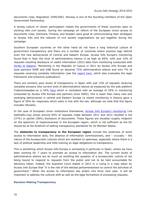documents rules, Regulation 1049/2001. Norway is one of the founding members of the Open Government Partnership.

A strong culture of citizen participation makes the governments of these countries open to working with civil society. During the campaign on reform of the European Union access to documents rules, Denmark, Finland, and Sweden were good at communicating their strategies to Access Info and the network of civil society organisations we put together during the campaign.

Southern European countries on the other hand do not have a long historical culture of government transparency and there are a number of countries where practice lags behind even the new democracies of Central and Eastern Europe. Access Info Europe's monitoring found that in Italy the level of administrative silence is as high as 65%, with just 15% of requests resulting disclosure of useful information (2013 data from monitoring conducted with [Diritto di Sapere\)](http://www.dirittodisapere.it/rapporto/). Monitoring in the Republic of Cyprus in 2011 by Access Info Europe and local partners IKME and KAB found an abysmal 72% administrative silence and only 7% of requests receiving complete information (see the [report here,](http://www.access-info.org/documents/Access_Docs/Advancing/Cyprus/Report_and_Recommendations_for_Consultation_21Nov.pdf) which also evaluates the legal framework and proactive publication).

There are similarly poor levels of transparency in Spain with just 13% of requests receiving complete answers (the current level of administrative silence as measured by the web platform Tuderechoasaber.es is 54% [here](http://blog.tuderechoasaber.es/informe/) which is consistent with an average of 55% in monitoring conducted by Access Info Europe and partners since 2005); this is lower than many new and emerging democracies in central and Eastern Europe (a recent monitoring in Kosova gave a figure of 30% for responses which were in line with the law, although we note that this figure includes refusals).

In the case of European Union institutions themselves, [Access Info Europe's monitoring](http://www.access-info.org/en/european-union/291-askeu-results-2012) (via AsktheEU.org) shows around 65% of requests made between 2011 and 2012 resulted in full (37%) or partial (28%) disclosure of documents. These figures are situated roughly midpoint on the spectrum of responsiveness in the European region, which is not sufficient as the EU should be at the forefront of setting transparency standards for its Member States.

The **obstacles to transparency in the European region** include the weakness of some access to information laws, the absence of information commissioners, and – crucially – the nature of the bureaucratic cultures which are resistant to openness, especially where there is a lack of political leadership and little training on legal obligations to transparency.

This is something which Access Info Europe is witnessing in particular in Spain, where we have been working for 7 years to promote an access to information law. The current levels of administrative silence are as much as anything the question of a bureaucratic culture of not being bound to respond to requests from the public and not to be held accountable for decisions taken. Indeed, the Supreme Court stated in 2012 in a ruling in a case taken by Access Info Europe that "it is the role of the elected parliamentarians to control the activities of government." When the access to information law enters into force next year, it will be important to address the cultural shift as well as the legal formalities of processing requests.

#### <span id="page-15-0"></span>**Decision Making Transparency**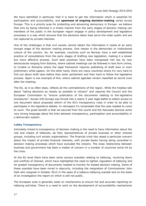We have identified in particular that it is hard to get the information which is essential for participation and accountability, and **openness of ongoing decision-making** varies across Europe. This is a priority area for protecting and advancing democracy in Europe: we believe that only by being informed in a timely manner from the early stages of decision making can members of the public in the European region engage in policy development and legislative processes in a way which ensures that the decisions taken best serve the wider public and are not captured by private interests.

One of the challenges is that civil society cannot obtain the information it needs at an early enough stage of the decision making process. One reason is the democratic or institutional culture of the country. So, for example, countries such as Norway have a well established practice of consultations from the early stages of drafting new legislation, making it a slower but more effective process. Such best practices have been transposed into law by new democracies ranging from Estonia, where cabinet meetings can be followed in text form online, to Croatia or Romania where the legal framework requires publishing of draft laws or even preliminary white papers. On the other hand, there are many countries where it's very hard to find out about draft laws before they enter parliament and then hard to follow the legislative process. Spain is one example of this, where cabinet agendas remain classified as secret even after the meeting.

The EU, as it so often does, reflects all the contradictions of the region. While the treaties talk about "taking decisions as closely as possible to citizens" and requires the Council and the European Commission to "ensure publication of the documents relating to the legislative procedures", Access Info Europe was forced into a nearly 5 year legal battle to obtain access to one document about proposed reform of the EU's transparency rules in order to be able to participate in the legislative debate. In retrospect it's remarkable that the case needed to come to court. The great benefit is that we secured from the courts and the Advocate General some very strong language about the links between transparency, participation and accountability in a democratic system.

#### <span id="page-16-0"></span>**Lobby Transparency**

Intimately linked to transparency of decision making is the need to have information about the role and impact of lobbyists, be they representatives of private business or other interest groups, including civil society organisations. The financial crisis has raised a particular concern about the impact of private financial interests, with private banks having being consulted in decision making processes which have excluded the citizens. The close relationship between business and government has been a matter of concern in a number of countries worst hit by the crisis.

At the EU level there have been some serious scandals relating to lobbying, revolving doors and conflicts of interest, which have highlighted the need to tighten regulation of lobbying and for greater transparency of documents needed to monitor for biased decision making. Some of these scandals have been mired in obscurity, including the resignation of Commissioner John Dalli who resigned in October 2012 in the wake of a tobacco lobbying scandal and on the basis of an investigation the report on which is still not public.

The European area is generally weak on mechanisms to ensure full and accurate reporting on lobbying activities. There is a need to work on the development of accountability mechanisms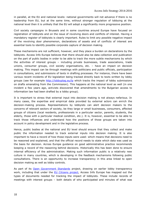in parallel, at the EU and national levels: national governments will not advance if there is no leadership from EU, but at the same time, without stronger regulation of lobbying at the national level then it is unlikely that the EU will adopt a significantly more progressive position.

Civil society campaigns in Brussels and in some countries around Europe have focused on registration of lobbyists and on the issue of revolving doors and conflicts of interest. Having a mandatory register of lobbyists is clearly important. Rules to limit any possible negative impact of the revolving door phenomenon, declarations of assets and of conflicts of interest are essential tools to identify possible corporate capture of decision making.

These mechanisms are not sufficient, however, and they place a burden on declarations by the lobbyists. Access Info Europe believes that there should also be data collection and publication on the part of public bodies in order to be able to track the more subtle mechanisms by which the activities of interest groups – including private businesses, trade associations, trade unions, consumer groups, civil society organisations, etc. – have an impact on decision making. This impact can be through meetings with politicians and public officials, participation in consultations, and submissions of texts in drafting processes. For instance, there have been various recent incidents of EU legislation being tracked directly back to texts written by lobby groups (see for example<http://lobbyplag.eu/lp> which tracks the impact of lobby submissions on drafts emanating from the Commission). This happens at the national level as well (in one incident a few years ago, activists discovered that amendments to the Bulgarian access to information law had been drafted by a lobby group).

It is important to stress that external input into decision making is not always nefarious. In many cases, the expertise and empirical data provided by external actors can enrich the decision-making process. Representations by lobbyists can alert decision makers to the concerns of relevant sectors of society, be they large or small businesses, consumers, affected groups of citizens (local residents, professionals in a particular sector, parents, students, the elderly, those with a particular medical condition, etc.). It is, however, essential to be able to track those influences and understand how the positions of those groups are taken into account in policy development and in the legislative process.

Hence, public bodies at the national and EU level should ensure that they collect and make public the information needed to track external inputs into decision making. It is also important to have a record of how those inputs were used: which means that decisions need to be reasoned and explained, and that the official record needs to state which data was used as the basis for decision. Across Europe guidance on good administrative practice recommends keeping a record of the reasoning behind decisions. Historically this has been done to ensure internal efficiency of the administration. Making such information public is a relatively new culture in many countries, which is developing in the feedback mechanisms following public consultations. There is an opportunity to increase transparency in this area linked to open decision making as well as lobby controls.

As part of its [Open Government Standards](http://opengovstandards.org/) project, drawing on earlier lobby transparency work, including that under the **EU Citizens project**, Access Info Europe has mapped out the types of documents needed for tracking the impact of lobbyists. These include records of meetings with interest groups – both details of who participated and minutes of what was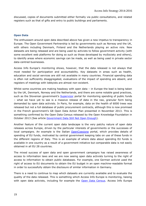discussed, copies of documents submitted either formally via public consultations, and related registers such as that of gifts and entry to public buildings and parliaments.

#### <span id="page-18-0"></span>**Open Data**

The enthusiasm around open data described above has given a new impetus to transparency in Europe. The Open Government Partnership is led by governments such as Norway and the UK, with others including Denmark, Finland and the Netherlands playing an active role. New datasets are being released and are being used by activists to follow government activity (with some excellent web platforms for doing so such as those developed by mySociety and others), to identify areas where economic savings can be made, as well as being used in private sector data-centred businesses.

Access Info Europe's monitoring shows, however, that the data released is not always that most needed for participation and accountability. Key datasets in areas such as health, education and social services are still not available in many countries. Financial spending data is often not sufficiently disaggregated, evaluations of the impact of spending are absent, and registers of meetings with lobbyists are almost non-existent.

Whilst some countries are making headway with open data – in Europe the lead is being taken by the UK, Denmark, Norway and the Netherlands, and there are some notable good practices, such as the Slovenian government's **[Supervizor](http://supervizor.kpk-rs.si/)** portal for monitoring spending of public funds – what we have yet to see is a massive release of data in the raw, granular form being demanded by open data activists. In Paris, for example, data on the health of 6000 trees was released but not a full database of public procurement contracts, although this is now promised in the French government's G8 Open Data Action Plan presented in November 2013. This is something confirmed by the Open Data Census released by the Open Knowledge Foundation in October 2013 (See article [Government Data Still Not Open Enough\)](http://blog.okfn.org/2013/10/28/government-data-still-not-open-enough/).

Another feature of the current open data landscape is the very patchy nature of open data releases across Europe, driven by the particular interests of governments or the successes of local campaigns. An example is the Italian [OpenCoesione](http://www.opencoesione.gov.it/‎) portal, which provides details of spending of EU funds, motivated by central government keeping tabs on use of these funds in the different regions of Italy. This is an example of where data about spending EU funds is available in one country as a result of a government initiative but comparable data is not easily obtained in all EU 28 countries.

The mixed success of open data and open government campaigns has raised awareness of access to information laws and we are now seeing open data activists turning to the right of access to information to obtain public databases. For example, one German activist used the right of access to EU documents to obtain the EU budget in an open machine-readable format in order to successfully obtain the disclosure of similar information in Germany.

There is a need to continue to map which datasets are currently available and to evaluate the quality of the data released. This is something which Access Info Europe is monitoring, liaising with open data activists, including for example the [Open Data Census.](file:///C:/Users/Helen/AppData/Local/Microsoft/Windows/INetCache/Content.Outlook/AppData/Local/Temp/census.okfn.org/) Access Info Europe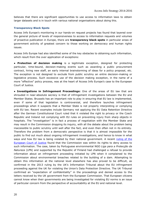believes that there are significant opportunities to use access to information laws to obtain larger datasets and is in touch with various national organisations about doing this.

#### <span id="page-19-0"></span>**Transparency Black Spots**

Access Info Europe's monitoring in our hands-on request projects has found that layered over the general picture of levels of responsiveness to access to information requests and volumes of proactive publication in Europe, there are **transparency black spots** in particular areas of government activity of greatest concern to those working on democracy and human rights issues.

Access Info Europe had also identified some of the key obstacles to obtaining such information, which result from the over application of exceptions:

**● Protection of decision making** is a legitimate exception, designed for protecting particular, time-bound, decision-making events such as awarding a public procurement contract, hiring new staff, an early internal brainstorming of ideas for a policy proposal, etc. The exception is not designed to exclude from public scrutiny an entire decision-making or legislative process. Such excessive use of the decision making exception, in the name of a more "effective" policy process, was at the heart of Access Info Europe's case to the European Court of Justice.

**● Investigations in Infringement Proceedings:** One of the areas of EU law that are shrouded in near-absolute secrecy is that of infringement investigations between the EU and Member States. Brussels has an important role to play in ensuring that EU law is implemented, even if some of that legislation is controversial, and therefore launches infringement proceedings when it suspects that a Member State is not properly interpreting or complying with EU law. Recent examples include Germany not applying the EU Data Retention Directive after the German Constitutional Court ruled that it violated the right to privacy or the Czech Republic and Ireland not complying with EU rules on preventing injury from sharp objects in hospitals. The "investigation" is in fact a process of negotiation with the Member State and may result in the Commission dropping its inquiry, with all the debate about the problem being inaccessible to public scrutiny until well after the fact, and even then often not in its entirety. Therefore the problem from a democratic perspective is that it is almost impossible for the public to find out much about ongoing infringement investigations, and hence to know in what ways and how EU law is being violated by their national government. A recent ruling of the [European Court of Justice](http://curia.europa.eu/juris/document/document.jsf;jsessionid=9ea7d2dc30db8f2f236fdfb74465a179e495bed57dd3.e34KaxiLc3qMb40Rch0SaxuMahv0?text=&docid=140630&pageIndex=0&doclang=en&mode=lst&dir=&occ=first&part=1&cid=697442) found that the Commission was within its rights to deny access to such information. The case, taken by Portuguese environmental NGO *Liga para a Protecção da Natureza* (LPN) and supported by the Republic of Finland had challenged a refusal to provide information about an infringement proceeding initiated by LPN when it complained to the Commission about environmental breaches related to the building of a dam. Attempting to obtain this information at the national level elsewhere has also proved to be difficult, as confirmed in the 2013 ruling by the UK's Information Tribunal about the EU infringement proceeding against the UK for violating the Union's Data Protection Directive. The UK Tribunal confirmed an "expectation of confidentiality" in the proceedings and denied access to the letters received by the UK government from the European Commission. That European citizens cannot know when their governments are being investigated for violating EU norms is an issue of particular concern from the perspective of accountability at the EU and national level.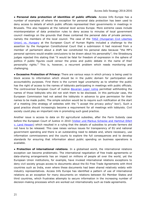**● Personal data protection of identities of public officials**. Access Info Europe has a number of examples of where the exception for personal data protection has been used to deny access to details of which public officials represented their governments in meetings in Brussels. This also happens at the national level across Europe. More extreme cases include misinterpretation of data protection rules to deny access to minutes of local government council meetings on the grounds that these contained the personal data of private persons, namely the members of the local council. The case of the TASZ [\(Hungarian Civil Liberties](http://cmiskp.echr.coe.int/tkp197/view.asp?action=html&documentId=849278&portal=hbkm&source=externalbydocnumber&table=F69A27FD8FB86142BF01C1166DEA398649.)  Union) [vs. Hungary](http://cmiskp.echr.coe.int/tkp197/view.asp?action=html&documentId=849278&portal=hbkm&source=externalbydocnumber&table=F69A27FD8FB86142BF01C1166DEA398649.) at the European Court of Human Rights included a challenge to the assertion by the Hungarian Constitutional Court that a submission it had received from a member of parliament about a draft law constituted his personal data because "the MP's personal opinions would enable conclusions to be drawn about his personality"; the Strasbourg judges rejected this stating that "it would be fatal for freedom of expression in the sphere of politics if public figures could censor the press and public debate in the name of their personality rights." This is, however, a recurrent problem which needs monitoring and challenging.

**● Excessive Protection of Privacy:** There are various ways in which privacy is being used to block access to information which should be in the public domain for participation and accountability purposes. First there is the current legal uncertainty as to whether the public has the right of access to the names of lobbyists participating in meetings with public officials. The controversial European Court of Justice *[Bavarian Lager](http://curia.europa.eu/juris/liste.jsf?pro=&lgrec=en&nat=&oqp=&dates=&lg=&language=en&jur=C%2CT%2CF&cit=none%252CC%252CCJ%252CR%252C2008E%252C%252C%252C%252C%252C%252C%252C%252C%252C%252Ctrue%252Cfalse%252Cfalse&td=ALL&pcs=O&avg=&page=1&mat=or&parties=Bava)* ruling permitted withholding the names of those lobbyists who did not wish them to be disclosed. In this particular case, the European Commission had not asked the lobbyists in advance to give permission for their names to be made public. The simple solution would be to require such notification at the start of a meeting (the strategy of websites with the "I accept the privacy policy" box!). Such a good practice should increasingly become a requirement for all meetings with lobbyists. Civil society could play an important role in promoting such good practice.

Another issue is access to data on EU agricultural subsidies, after the Farm Subsidy case before the European Court of Justice in 2010 [\(Volker und Markus Schecke](http://curia.europa.eu/juris/liste.jsf?pro=&lgrec=en&nat=&oqp=&dates=&lg=&language=en&jur=C%2CT%2CF&cit=none%252CC%252CCJ%252CR%252C2008E%252C%252C%252C%252C%252C%252C%252C%252C%252C%252Ctrue%252Cfalse%252Cfalse&td=ALL&pcs=O&avg=&page=1&mat=or&parties=Volk) and Hartmut Eifert [v. Land Hessen\)](http://curia.europa.eu/juris/liste.jsf?pro=&lgrec=en&nat=&oqp=&dates=&lg=&language=en&jur=C%2CT%2CF&cit=none%252CC%252CCJ%252CR%252C2008E%252C%252C%252C%252C%252C%252C%252C%252C%252C%252Ctrue%252Cfalse%252Cfalse&td=ALL&pcs=O&avg=&page=1&mat=or&parties=Volk) which resulted in a ruling that the details of subsidies to private farmers did not have to be released. This case raises various issues for transparency of EU and national government spending and there is an outstanding need to debate and, where necessary, use information commissioners and the courts to explore the full consequences and to develop standards for ensuring that information about public spending on business operations is available.

**● Protection of international relations**. In a globalised world, the international relations exception can become problematic. The international negotiation of free trade agreements or data-sharing arrangements has an impact on millions of people all over the world, yet the European Union institutions, for example, have invoked international relations exceptions to deny civil society groups access to documents about the EU Free Trade Agreements with third countries such as India, even where these documents had been shared relatively widely with industry representatives. Access Info Europe has identified a pattern of use of international relations as an exception for many documents on relations between EU Member States and third countries, which frustrates attempts to secure information in the increasing number of decision-making processes which are worked out internationally such as trade agreements.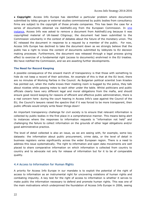**● Copyright**: Access Info Europe has identified a particular problem where documents submitted by lobby groups or external studies commissioned by public bodies from consultancy firms are subject to the copyright of those private companies. This has been the case for a series of documents obtained via AsktheEU.org from the European Commission. In one [instance,](http://www.asktheeu.org/en/request/corporate_influence_on_the_work) Access Info was asked to remove a document from AsktheEU.org because it was copyrighted material of UK-based Citigroup; the document had been submitted to the Commission voluntarily in the context of debates about the future of the monetary union. The EC released the document in response to a request by a member of the public. For now, Access Info Europe has declined to take the document down as we strongly believe that the public has a right to know the content of documents submitted by lobbyists to EU decision making processes. Furthermore, the document was released through a legal process giving effect to exercise of a fundamental right (access to documents) enshrined in the EU treaties. We have notified the Commission, and we are awaiting further developments.

#### <span id="page-21-0"></span>**The Need for Record Keeping**

A possible consequence of the onward march of transparency is that those with something to hide do not keep a record of their activities. An example of this is that at the EU level, there are no minutes of Working Parties in the Council. As Bulgarian political scientist Ivan Krastev has pointed out, when the mafia knows their meeting room is bugged by the police, they talk about niceties while passing notes to each other under the table. Whilst politicians and public officials clearly have very different legal and moral obligations from the mafia, and should ensure good record keeping for reasons of efficient and effective public administration, there is a real concern here: during the court hearing in Access Info's case against the Council of the EU, the Council's lawyers raised the spectre that if it was forced to be more transparent, then public officials would simply write fewer things down!

An important transparency challenge for civil society is to ensure that relevant information is collected by public bodies in the first place in a comprehensive manner. This means being alert to instances where the responses to information requests is "information not held" and challenging the failure to collect information on the grounds of other legal obligations and/or good administrative practice.

The level of detail collected is also an issue, as we are seeing with, for example, some key datasets: the information about public procurement, crime data, or the level of detail in business registers varies significantly across the wider European region. There is a need to address this issue systematically. The right to information and open data movements are well placed to share comparative information on which information is collected from country to country and to advocate not only for release of information but for it to be of comparable quality.

#### <span id="page-21-1"></span>**4.4 Access to Information for Human Rights**

A priority for Access Info Europe in our mandate is to exploit the potential of the right of access to information as an instrumental right for uncovering violations of human rights and combating impunity. A key test for the right of access to information is whether it serves to make public the information necessary to defend and promote human rights. This was one of the main motivations which underpinned the foundation of Access Info Europe in 2006, seeing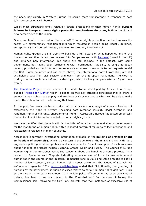the need, particularly in Western Europe, to secure more transparency in response to post 9/11 pressures on civil liberties.

Whilst most Europeans enjoy relatively strong protections of their human rights, **system failures in Europe's human rights protection mechanisms do occur,** both in the old and new democracies of the region.

One example of a stress test on the post WWII human rights protection mechanisms was the secret CIA extraordinary rendition flights which resulted in people being illegally detained, surreptitiously transported through, and even tortured on, European soil.

Human rights groups are still trying to build up a full picture of what happened and of the routes the rendition planes took. Access Info Europe worked with [Reprieve](http://www.reprieve.org.uk/‎) (based in the UK) and obtained new information, but there are still lacunae in the dataset, with some governments not having been forthcoming with information. That said, no single European country provided as much nor as comprehensive a dataset in response to our requests as did the USA. Some countries and (as noted above) the international body Eurocontrol, are still withholding data from civil society, and even from the European Parliament. The clock is ticking to obtain such data before it is destroyed, which typically happens after a 10 year time frame.

[The Rendition Project](http://www.access-info.org/en/human-rights/247-rendition-project) is an example of a work-stream developed by Access Info Europe dubbed "[Access for Rights](http://accessforrights.net/)" which is based on two key strategic considerations: is there a serious human rights issue at play and are there civil society groups which will be able to make use of the data obtained in addressing that issue.

In the past few years we have worked with civil society in a range of areas – freedom of expression, the right to privacy (including data retention issues), illegal detention and rendition, rights of migrants, environmental rights – Access Info Europe has tested empirically the availability of information needed by human rights groups.

We have identified that there is still far too little information made available by governments for the monitoring of human rights, with a repeated pattern of failure to collect information and reluctance to release it in many countries.

Access Info is currently investigating information available on the **policing of protests (right to freedom of assembly)**, which is a concern in the context of the financial crisis, with more aggressive policing of street protests and encampments. Recent examples of such concerns about handling of protests include Bulgaria, Greece, Spain and Turkey. The Council of Europe Human Rights Commissioner has raised concerns about the handling of some protests. With respect to Spain he said "Reports indicating excessive use of force by law enforcement authorities in the course of anti-austerity demonstrations in 2011 and 2012 brought to light a number of long-standing, serious human rights issues concerning the actions of Spanish law enforcement agencies." The [report available here](https://wcd.coe.int/com.instranet.InstraServlet?command=com.instranet.CmdBlobGet&InstranetImage=2389885&SecMode=1&DocId=2077824&Usage=2) added that "Additionally, the granting of pardons by the government, including in cases related to serious human rights violations, such as the pardons granted in November 2012 to four police officers who had been convicted of torture, has been of serious concern to the Commissioner." In the case of Turkey the Commissioner said, following the Gezi Park protests that ""All instances of excessive use of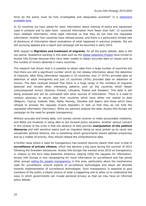force by the police must be fully investigated and adequately punished" in a statement [available here.](https://wcd.coe.int/com.instranet.InstraServlet?command=com.instranet.CmdBlobGet&InstranetImage=2389885&SecMode=1&DocId=2077824&Usage=2)

In 42 countries we have asked for basic information about training of police and equipment used in protests and to date have received information from fewer than half: 12 countries have released information, while eight informed us that they do not hold the requested information. Another four countries have refused access, and there is a particularly limited rate of disclosure of information about evaluations of what happened in previous protests. We are still pursuing appeals and a report and campaign will be launched in early 2014.

With respect to **Migration and treatment of migrants**, for all the public debate, data is still too scarce. Academics working in this area such as the [Global Detention Project](http://www.globaldetentionproject.org/) have turned to Access Info Europe because they have been unable to obtain accurate data on issues such as the number of minors detained in many countries.

The research has shown that it is possible to obtain data from a large number of countries but that there are still a significant number which do not release information about the detention of migrants. After filing information requests in 33 countries, only 17 (47%) provided data on detention of adult immigrants and just 15 countries (43%) provided data on detention of minors. The data received showed that there is a huge range in the numbers of migrants detained and reveals other interesting patterns such as the countries which detain unaccompanied minors (Estonia, Finland, Lithuania, Poland and Sweden). This data is still being analysed and will be contrasted with other sources of information. There is a need to conduct advocacy to secure data from countries which have either not replied to date (Belgium, Cyprus, Iceland, Italy, Malta, Norway, Slovakia and Spain) and those which have refused to process the requests (Czech Republic) or told us that they do not hold the requested information (Germany). While our partners analyse the data, Access Info Europe will campaign on the need for greater transparency.

Without accurate and timely data, civil society cannot uncover or make accountable violations, and NGOs are hindered in being able to put forward policy solutions. Another serious concern in the context of the crisis is that the absence of data permits **manipulation of the political discourse** and with sensitive topics such as migration being an issue picked up by racist and xenophobic political factions, this is something which governments should address proactively and as a matter of priority, they should release the comprehensive data.

A further issue where a need for transparency has recently become clearer than ever is that of **surveillance of private citizens**, which has become a big issue during the summer of 2013 following the Snowden disclosures. Access Info Europe has worked since 2010 on transparency in relation to the EU's Data Retention Directive, helping CSOs file requests for information. Access Info Europe is now campaigning for more information on surveillance and has joined other groups [calling for greater transparency](http://www.access-info.org/en/open-government-data/510-ogp-surveillance-statement) in this area, particularly about the mechanisms used for surveillance, around exports of surveillance technologies and about aid directed towards implementation of surveillance technologies. Such transparency is essential to give members of the public a clearer picture of what is happening and to allow us to understand the ways in which governments can invade personal privacy so that we may have an informed policy debate.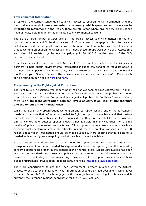#### <span id="page-24-0"></span>**Environmental Information**

In spite of the Aarhus Convention (1998) on access to environmental information, and the many advances made in **environmental transparency which spearheaded the access to information movement** in the region, there are still areas where civil society organisations have difficulty obtaining information related to environmental concerns.

There are a large number of CSOs active in the area of access to environmental information, both at the national and EU level, so Access Info Europe does not engage in this unless we are called upon to do so in specific cases. We do however maintain contact with and liaise with groups working on environmental issues, and indeed these groups were active with Access Info and other civil society organisations campaigning in 2011-2012 on the reform of the EU's access to documents rules.

Recent examples of instances in which Access Info Europe has been called upon by civil society partners to help obtain environmental information included the sending of requests about a planned nuclear power plant in Lithuania, a water treatment plant in Serbia and genetically modified crops in Spain; in none of these cases have we yet been fully successful. More details can be found on our website [here](http://www.access-info.org/en/environment) and [here.](http://www.access-info.org/en/human-rights/304-lithuania-nuclear-power)

#### <span id="page-24-1"></span>**Transparency in the Fight against Corruption**

The right to live in societies free of corruption has not yet been secured satisfactorily in many European countries with incidence of corruption facilitated by secrecy. This problem continues to affect societies in Eastern Europe and is a significant problem in Southern Europe. Indeed, there is an **apparent correlation between levels of corruption, lack of transparency and the extent of the financial crisis**.

Whilst there are many organisations working on anti-corruption issues, one of the outstanding needs is to ensure that information needed to fight corruption is available and that certain datasets are made public because it is recognised that they are essential for anti-corruption efforts. For example, detailed spending data is not available in many countries, nor are full details of public procurement contracts and follow up reports, nor are documents such as detailed assets declarations of public officials. Indeed, there is no clear consensus in the EU region about which information should be made available. More specific standard setting is needed as is more rigorous mapping of what data is and is not available.

In our assessment there are currently important opportunities to have an impact on transparency of information needed to expose and combat corruption given the increasing concerns about fiscal probity in the context of the financial crisis. Access Info Europe has been working on standards for proactive publication of anti-corruption information and has developed a monitoring tool for measuring transparency in corruption-prone areas such as public procurement, privatisation, political party financing; [the tool is available here.](http://www.access-info.org/documents/Access_Docs/Using/Anticorruption/Anti_Corruption_Transparency_Monitoring_Methodology_25_Oct_2011.pdf)

There are opportunities to use the Open Government Partnership along with the UNCAC process to set clearer standards on what information should be made available in which level of detail. Access Info Europe is engaged with the organisations working in this area and is currently the European regional coordinator for the UNCAC Coalition.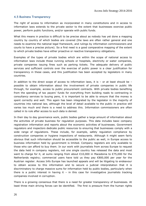#### <span id="page-25-0"></span>**4.5 Business Transparency**

The right of access to information as incorporated in many constitutions and in access to information laws extends to the private sector to the extent that businesses exercise public power, perform public functions, and/or operate with public funds.

What this means in practice is difficult to be precise about as nobody has yet done a mapping country by country of which bodies are covered (the laws are often rather general and one needs to examine the national legal framework, and rulings by information commissioners and courts to have a precise picture). So a first need is a good comparative mapping of the extent to which private bodies have either proactive or reactive transparency obligations.

Examples of the types of private bodies which are within the scope of national access to information laws include those running schools or hospitals, electricity or water companies, private companies issuing fines such as parking tickets. The adequate delivery of public services and sufficient controls over the exercise of public power is a clear justification for transparency in these cases, and this justification has been accepted by legislators in many countries.

In addition to the direct scope of access to information laws, it is  $-$  or at least should be  $$ possible to obtain information about the involvement of private companies in public life through, for example, access to public procurement contracts. With private bodies benefiting from the spending of tax payers' funds for everything from building roads to contracting in consultancy services to buying pens, it is important to be able to ensure that the money is spent correctly and well. This again has been integrated by the legislator in the majority of countries into national law, although the level of detail available to the public in practice still varies too much and there is a need to address this. Information commissioners are often called in to rule after access to such data is denied.

In their day to day governance work, public bodies gather a large amount of information about the activities of private business for regulation purposes. This data includes basic company registration information and reports about the economic activities of businesses. Government regulators and inspectors dedicate public resources to ensuring that businesses comply with a wide range of regulations. These include, for example, safety regulation compliance by construction companies or hygiene inspections of restaurants. Although it might seem fairly obvious that such information should be accessible to the public as well, in Europe access to business information held by government is limited. Company registers are only available to those who can afford to buy them. In our work with journalists from across Europe to request the data held in company registers, not one single country has released the data and most want to charge for it, at sums ranging from about €10,000 in Macedonia to €75,000 for the Netherlands registry; commercial users have told us they pay €800,000 per year for the Austrian register. Access Info Europe has launched appeals and will be litigating to endeavour to obtain access to this information and to secure a judicial interpretation that it is discriminatory to charge massive sums for information held by public bodies, particularly when there is a public interest in having it  $-$  in this case for investigative journalists tracking companies involved in corruption.

There is a growing consensus that there is a need for greater transparency of businesses. At least three main driving forces can be identified. The first is pressure from the human rights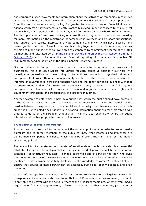and corporate justice movements for information about the activities of companies in countries where human rights are being violated or the environment despoiled. The second pressure is from the tax justice movement, calling for greater transparency around financial flows, an agenda which many governments are enthusiastically picking up out of concern to ensure fiscal responsibility of companies and that they pay taxes in the jurisdictions where profits are made. The third pressure is from those working on corruption and organised crime who are pressing for more information on the registration of companies in overseas and off-shore jurisdictions. The range of civil society interests in private companies, many of which have a wealth and power greater than that of small countries, is coming together in specific initiatives, such as the plan to make public beneficial ownership of companies (a commitment secured at the 2013 G8 meeting and reiterated by [UK Prime Minister David Cameron at the OGP London Summit in](http://www.youtube.com/watch?v=rEmY7vjSwBc‎)  [October 2013\)](http://www.youtube.com/watch?v=rEmY7vjSwBc‎) and to increase the non-financial reporting of companies (a possible EU requirement, pending adoption of the Non-Financial Reporting Directive).

One current need in Europe is to secure access to more information about the ownership of businesses. This is an issue Access Info Europe regularly comes up against in our work with investigative journalists who are trying to track those involved in organised crime and corruption. In Europe, there is an opportunity created by the financial crisis to align the interests of governments in tracking financial flows and the behaviour of big business with that of organisations working for greater corporate transparency in areas such as fight against corruption, use of offshores for money laundering and organised crime, human rights and environment protection, and transparency of extractive industries.

Another example of data which is held by a public body which the public should have access to in the public interest is the results of clinical trials on medicines. In a recent example of the tension between transparency and commercial confidentiality, the pharmaceutical industry is suing the European Medicines Agency for disclosing information about clinical trials after it was ordered to do so by the European Ombudsman. This is a clear example of where the public interest should outweigh private commercial interests.

#### <span id="page-26-0"></span>**Transparency of Media Ownership**

Another need is to secure information about the ownership of media in order to protect media pluralism and to permit members of the public to know what interests and influences are behind media companies and hence which might be affecting the slant taken on information which they put out.

The availability of accurate and up-to-date information about media ownership is an essential attribute of a democratic and pluralist media system. Market power cannot be understood or assessed – or effectively regulated – if media authorities and citizens do not know who owns the media in their society. Excessive media concentrations cannot be addressed – or even be identified – unless ownership is fully disclosed. Public knowledge of owners' identities helps to ensure that abuses of media power can be assessed, publicised, openly debated, and even prevented.

Access Info Europe has conducted the first systematic research into the legal framework for transparency of media ownership and found that of 19 European countries surveyed, the public is only able to discover who the actual owners of the broadcast media are, whether from media regulators or from company registers, in fewer than one third of those countries, just six out of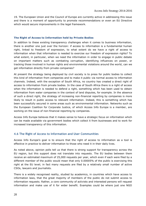19. The European Union and the Council of Europe are currently active in addressing this issue and there is a moment of opportunity to promote recommendations or even an EU Directive which would secure improvements in the legal framework.

#### <span id="page-27-0"></span>**The Right of Access to Information held by Private Bodies**

In addition to these existing transparency challenges when it comes to business information, there is another one just over the horizon: if access to information is a fundamental human right, linked to freedom of expression, to what extent do we have a right of access to information when that information is needed to exercise our freedom of expression rights? To what extent, in particular, when we need the information in order to engage in public debate on important matters such as combating corruption, identifying influences on power, or tracking those involved in human rights and environmental violations around the world, can we get information directly from private companies?

At present the strategy being deployed by civil society is to press for public bodies to collect this kind of information from companies and to make it public via normal access to information channels. Indeed, with the exception of South Africa, no country has created a direct right of access to information from private bodies. In the case of South Africa there is a right of access when the information is needed to defend a right, something which has been used to obtain information from water companies in the context of land disputes, for example. In the absence of such a direct right, the strategy of increasing non-financial reporting by companies is more likely to result in public access to relevant information. Indeed, this is something which has been successfully secured in some areas such as environmental information. Networks such as the European Coalition for Corporate Justice, of which Access Info Europe is a member, are working on the issue of non-financial reporting by companies.

Access Info Europe believes that it makes sense to have a strategic focus on information which can be made available via government bodies which collect it from businesses and to work for increased transparency of this information.

#### <span id="page-27-1"></span>**4.6 The Right of Access to Information and User Communities**

Access Info Europe's goal is to ensure that the right of access to information as a tool is effective in practice to deliver information to those who need it in their daily lives.

As noted above, opinion polls tell us that there is strong support for transparency across the EU region, but this support does not translate into requests. The EU bodies between them receive an estimated maximum of 25,000 requests per year, which even if each were filed by a different member of the public would mean that only 0.00005% of the public is exercising this right at the EU level; in fact many requests are filed by a relatively small number of active CSOs, lawyers and journalists.

There is a widely recognised reality, studied by academics, in countries which have access to information laws, that the great majority of members of the public do not submit access to information requests. Rather, a core community of activists and interested persons will request information and make use of it for wider benefit. Examples could be where just one NGO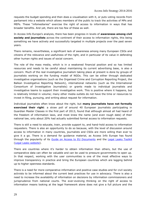requests the budget spending and then does a visualisation with it, or puts voting records from parliament into a website which allows members of the public to track the activities of MPs and MEPs. These "infomediaries" exercise the right of access to information in ways that has broader benefits. And yet, there are too few of these as well.

In Access Info Europe's analysis, there has been progress in levels of **awareness among civil society and journalists** across the continent of their access to information rights, this being something we have actively and successfully targeted in multiple projects over the past seven years.

There remains, nevertheless, a significant lack of awareness among many European CSOs and citizens of the relevance and usefulness of the right, and in particular of its value in defending other human rights and issues of social concern.

The role of the mass media, which is in a weakened financial position and so has limited resources and needs to be careful about maintaining its current advertising base, is also a concern. Much of the real investigative journalism taking place at present is done by groups of journalists working on the funding model of NGOs. This can be either through dedicated investigative organisations (such as the Organised Crime and Corruption Reporting Project, the Balkan Investigative Reporting Network), international networks (such as the International Consortium of Investigative Journalists) or grants made to individual journalists and investigative teams to support their investigative work. This is positive where it happens, but is relatively limited in volume; many other media outlets do not have the time or resources to invest in filing, pursuing, and writing about request for information.

Individual journalists often know about the right, but **many journalists have not formally exercised their right**: a straw poll of around 40 European journalists participating in Guardian Master Classes in the first part of 2013, found that although almost all had heard of the freedom of information laws, and most knew the name (and even rough date) of their national law, only about 20% had actually submitted formal access to information requests.

There is still a need to educate, train, provide support to, and hand-hold access to information requesters. There is also an opportunity to do so because, with the level of discussion around access to information in many countries, journalists and CSOs are more willing than ever to give it a go. There is a demand for guidance material, as Access Info Europe has found through the popularity of its [Guide on Access to EU Documents](http://www.access-info.org/documents/Access_Docs/Advancing/EU/EN_ONLINE_Guide_on_access_to_EU_Documents.pdf) and the [Legal Leaks Toolkit](http://www.access-info.org/en/legal-leaks/506-legal-leaks-7-languages) [\(Legal Leaks website\)](http://www.legalleaks.info/).

There are countries where it's harder to obtain information than others, but the use of comparative data can often be valuable and can be used to pressure governments to open up. In that respect, working with the user communities is one of the most effective ways to improve transparency in practice and bring the European countries which are lagging behind up to higher openness standards.

There is a need for more comparative information and positive case studies and for civil society activists to be informed about the current best practices for use in advocacy. There is also a need to increase the availability of information on decisions by information commissioners and jurisprudence from national courts. The ever-evolving thinking on the right of access to information means looking at the legal framework alone does not give a full picture and the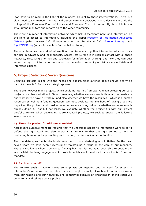laws have to be read in the light of the nuances brought by these interpretations. There is a clear need to summarise, translate and disseminate key decisions. These decisions include the rulings of the European Court of Justice and European Court of Human Rights which Access Info Europe monitors and reports on to the wider community.

There are a number of information networks which help disseminate news and information on the right of access to information, including the global Freedom of Information Advocates [Network](http://foiadvocates.net/) (which Access Info Europe acts as the Secretariat for), [Freedominfo.org,](http://www.freedominfo.org/) and [Right2INFO.org](file:///C:/Users/Helen/AppData/Local/Microsoft/Windows/INetCache/Content.Outlook/AppData/Local/Temp/Right2INFO.org) (which Access Info Europe helped found).

There is also a new network of information commissioners to gather information which activists can use in advocacy and legal appeals. Access Info Europe is in regular contact with all these networks, discussing priorities and strategies for information sharing, and how they can best serve the right to information movement and a wider community of civil society activists and interested citizens.

## <span id="page-29-0"></span>**5. Project Selection: Seven Questions**

Selecting projects in line with the needs and opportunities outlined above should clearly be part of Access Info Europe's strategic approach.

There are however many projects which could fit into this framework. When selecting our core projects, we check whether it fits our mandate, whether we are clear both what the needs are and whether we have a strategy, and also whether we have the resources - which is a human resources as well as a funding question. We must evaluate the likelihood of having a positive impact on the problem and consider whether we are adding value, or whether someone else is already doing it. Last but not least, we evaluate whether the project fits with our project portfolio. Hence, when developing strategy-based projects, we seek to answer the following seven questions:

#### **1) Does the project fit with our mandate?**

Access Info Europe's mandate requires that we undertake access to information work so as to defend the right itself and also, importantly, to ensure that the right serves to help in protecting human rights, promoting participation, and increasing accountability.

The mandate question is absolutely essential to us undertaking any initiative. In the past seven years we have been successful at maintaining a focus on the core of our mandate. That's a challenge when it comes to funding but thus far we have been able to sustain our work whilst declining engagement in projects which would lead us to stray too far from our mandate.

#### **2) Is there a need?**

The context analysis above places an emphasis on mapping out the need for access to information's work. We find out about needs through a variety of routes: from our own work, from our reading and our networks, and sometimes because an organisation or individual will come to us and tell us about a problem.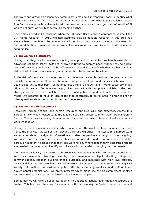The lively and growing transparency community is making it increasingly easy to identify what needs exist. But there are also a lot of myths around what is and what is not available. Access Info Europe's approach is always to ask the question: can we actually get that information? If we are not sure, we will test before proceeding further.

Sometimes a need will surprise us: when the UK based NGO Reprieve approached us about the CIA flights research in 2011, we had assumed that all possible research in this area had already been completed. Sometimes we will not know until we are contacted: the need for data on detention of migrant minors was not on our radar until we discussed it with academic researchers.

#### **3) Do we have a strategy?**

Having a strategy as to how we are going to approach a particular problem is essential to advancing solutions. Many CSOs get involved in trying to address needs without having a clear vision of how they will do it. To be effective we should first verify whether we have a clear vision of what reforms are needed, what action is to be taken and by whom.

In the field of transparency it may seem that the answer is simple: just get the government to publish the information! There are, however a range of strategies and tactics which have to be deployed to get to that point. Sometimes just asking is enough and in other cases prolonged litigation is needed. For one campaign, direct contact with key public officials is the best strategy, in another there will be a need to build public support and make a noise in the media. It's essential to have an idea of the type of strategy to be followed in order to answer other questions about resources, impact and coherence.

#### **4) Do we have the resources?**

Resources include financial and human resources but also skills and expertise. Access Info Europe is now widely looked to as the leading specialist access to information organisation in Europe. This places increasing demand on our time and we have to be disciplined about which work we take on.

Having the human resources is key, which means both the available team member time (and hence the finances), as well as the relevant skills and expertise. The Access Info Europe team knows a lot about the right to information and also has particular strengths in campaigning. We endeavour to ensure that team members are interested in and even passionate about the particular substantive issues that they are working on. Where longer term research projects are needed, we have or can identify consultants who can assist in carrying out the research.

We have the capacity to structure comprehensive campaigns which incorporate diverse tools such as research, training, events, recommendations, legal drafting, litigation, communications, coalition building, media outreach, and meetings with high level officials, policy and law-makers. We have a solid network of contacts around Europe, including civil society, information commissioners, public officials, lawyers, journalists, and staff of intergovernmental organisations. We prefer projects which make use of this complement of skills and resources as it increases the likelihood of having an impact.

Sometimes we will take a deliberate decision to undertake activity even though resources are limited. This has been the case, for example, with the campaign in Spain, where the time and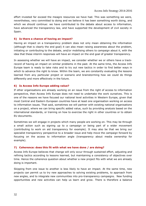effort invested far exceed the meagre resources we have had. This was something we were, nevertheless, very committed to doing and we believe it has been something worth doing, and which we should continue: we have contributed to the debate about access to information, have advanced the transparency law, and have supported the development of civil society in Spain.

#### **5) Is there a chance of having an impact?**

Having an impact on a transparency problem does not only mean obtaining the information (although that is clearly the end goal) it can also mean raising awareness about the problem, initiating or contributing to the debate, and/or mobilising others to campaign about it, with the idea that these interim responses will have an impact on the end goal of greater transparency.

In assessing whether we will have an impact, we consider whether we or others have a trackrecord of having an impact on similar problems in the past. At the same time, the Access Info Europe team is ready to take risks and to try out new tactics in order to find better ways in which to advance the right to know. Within the team, we are constantly evaluating the lessons learned from any particular project or scenario and brainstorming how we could do things differently and more effectively in the future.

#### **6) Is Access Info Europe adding value?**

If other organisations are already working on an issue from the right of access to information perspective, then Access Info Europe does not need to undertake the work ourselves. This is one of the reasons we have focused our national level activities in Western Europe, given that most Central and Eastern European countries have at least one organisation working on access to information issues. That said, sometimes we will partner with existing national organisations on a project, where we can bring specific added value, such by providing analysis based on the international standards, or training on how to exercise the right in other countries or to obtain EU documents.

Sometimes we will engage in projects which many people are working on. This may be through a small action such as signing up to a campaign or being part of a wider movement (contributing to work on aid transparency for example). It may also be that we bring our specialist transparency perspective to a broader issue and help move the campaign forward by focusing on the access to information angle (transparency about media ownership for example).

#### **7) Coherence: does this fit with what we have done / are doing?**

Access Info Europe believes that change will only occur through sustained effort, adjusting and refining tactics according to lessons learned, but maintaining a consistency of objectives over time. Hence the coherence question about whether a new project fits with what we are already doing is important.

Skipping from one issue to another is less likely to have an impact. At the same time, new projects can permit us to try new approaches to solving existing problems, to approach from new angles, and to integrate new communities into pro-transparency campaigns. New funding opportunities and new activities can help us learn and grow. There is therefore a balance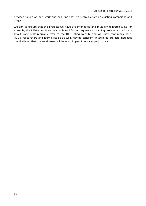between taking on new work and ensuring that we sustain effort on existing campaigns and projects.

We aim to ensure that the projects we have are interlinked and mutually reinforcing. So for example, the RTI-Rating is an invaluable tool for our request and training projects – the Access Info Europe staff regularly refer to the RTI Rating website and we know that many other NGOs, researchers and journalists do as well. Having coherent, interlinked projects increases the likelihood that our small team will have an impact in our campaign goals.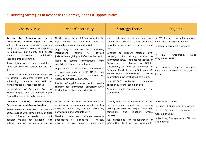| 6. Defining Strategies in Response to Context, Needs & Opportunities                                                                                                                                                                                                                                                                                                                                                                                                                                                                                                                                                                                                              |                                                                                                                                                                                                                                                                                                                                                                                                                                                                                                                                                                                                                                                 |                                                                                                                                                                                                                                                                                                                                                                                                                                                                                                                                                                                                                  |                                                                                                                                                                                                                                                   |  |  |  |
|-----------------------------------------------------------------------------------------------------------------------------------------------------------------------------------------------------------------------------------------------------------------------------------------------------------------------------------------------------------------------------------------------------------------------------------------------------------------------------------------------------------------------------------------------------------------------------------------------------------------------------------------------------------------------------------|-------------------------------------------------------------------------------------------------------------------------------------------------------------------------------------------------------------------------------------------------------------------------------------------------------------------------------------------------------------------------------------------------------------------------------------------------------------------------------------------------------------------------------------------------------------------------------------------------------------------------------------------------|------------------------------------------------------------------------------------------------------------------------------------------------------------------------------------------------------------------------------------------------------------------------------------------------------------------------------------------------------------------------------------------------------------------------------------------------------------------------------------------------------------------------------------------------------------------------------------------------------------------|---------------------------------------------------------------------------------------------------------------------------------------------------------------------------------------------------------------------------------------------------|--|--|--|
| Context/Issue                                                                                                                                                                                                                                                                                                                                                                                                                                                                                                                                                                                                                                                                     | Need/Opportunity                                                                                                                                                                                                                                                                                                                                                                                                                                                                                                                                                                                                                                | <b>Strategy/Tactics</b>                                                                                                                                                                                                                                                                                                                                                                                                                                                                                                                                                                                          | Projects                                                                                                                                                                                                                                          |  |  |  |
| <b>Information</b><br>is<br><b>Access</b><br>to<br>a<br>fundamental human right but laws<br>still weak in many European countries,<br>being too limited in scope, not applying<br>to legislative, parliament, and private<br>bodies.<br>Proactive<br>publication<br>requirements are limited.<br>Reuse rights are not clear especially as<br>there are conflicts caused by the PSI<br>directive.<br>Council of Europe Convention on Access<br>to Official Documents exists and is<br>influencing standards but still not<br>signed/ratified by many countries.<br>Jurisprudence of European Court of<br>Human Rights and UN Human Rights<br>Committee still to be fully explored. | Need to promote legal frameworks for the<br>right which are consistent with its<br>recognition as a fundamental right.<br>Opportunity to use the courts, including<br>international<br>courts<br>to<br>develop<br>jurisprudence giving full effect to the right.<br>commitments<br>Need to<br>secure<br>from<br>countries to improve standards.<br>Opportunities to secure these commitments<br>in processes such as OGP, UNCAC and<br>through ratification of Convention on<br>Access to Official Documents.<br>Problem of legal framework which permits<br>charging for information, especially when<br>held in large databases and registers | Map, track and report on best legal<br>frameworks. Use this data in campaigns<br>to widen scope of access to information<br>laws.<br>Conduct or support national level<br>for<br>campaigns<br>strong<br>access<br>to<br>information laws. Promote ratification of<br>Convention<br>Access<br>Official<br>on<br>to<br>Documents, as well as standards of<br>European Court of Human Rights and UN<br>Human Rights Committee with access to<br>information now established as a right.<br>Use UNCAC mechanism to advance<br>adoption & strengthening of laws.<br>Promote debate on standards via the<br>OGP forum. | >> RTI Rating - including national<br>campaigns on legal framework<br>>> Open Government Standards<br>EU<br>Transparency<br>Rules<br>(Regulation 1049)<br>$\gg$<br>Lectures,<br>papers,<br>analysis,<br>community debates on the right to<br>know |  |  |  |
| <b>Decision</b><br><b>Making</b><br>Transparency:<br><b>Participation and Accountability</b><br>Varied access to information in practice<br>across Europe with some particular black<br>Information needed to track<br>spots.<br>decision making not available, with<br>notable lack of transparancy and of                                                                                                                                                                                                                                                                                                                                                                       | Need to ensure right to information is<br>resulting in transparency in practice in key<br>areas of public life, thereby permitting<br>participation and accountability.<br>Need to monitor and challenge pervasive<br>applications of exceptions -<br>notably<br>privacy decision making commercial                                                                                                                                                                                                                                                                                                                                             | Identify mechanisms for refusing access<br>to information about<br>key decision<br>making processes and target these with<br>campaigns<br>litigation<br>and<br>where<br>necessary.<br>AIE campaigns for transparency of<br>information about lobbying from public                                                                                                                                                                                                                                                                                                                                                | >> EU Transparency<br>>> Spain - transparency in practice<br>>> EU Citizens II: Openness in<br>Context of Crisis<br>>> Lobbying Transparency - EU level<br>and national                                                                           |  |  |  |

<span id="page-33-0"></span>notable lack of transparency and of | privacy, decision making, commercial | information about lobbying from public